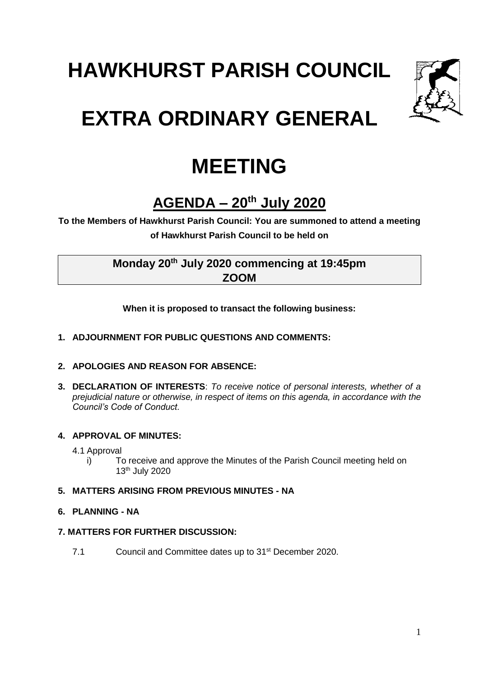# **HAWKHURST PARISH COUNCIL**



## **EXTRA ORDINARY GENERAL**

### **MEETING**

### **AGENDA – 20th July 2020**

**To the Members of Hawkhurst Parish Council: You are summoned to attend a meeting of Hawkhurst Parish Council to be held on**

#### **Monday 20th July 2020 commencing at 19:45pm ZOOM**

**When it is proposed to transact the following business:**

#### **1. ADJOURNMENT FOR PUBLIC QUESTIONS AND COMMENTS:**

#### **2. APOLOGIES AND REASON FOR ABSENCE:**

**3. DECLARATION OF INTERESTS**: *To receive notice of personal interests, whether of a prejudicial nature or otherwise, in respect of items on this agenda, in accordance with the Council's Code of Conduct.*

#### **4. APPROVAL OF MINUTES:**

4.1 Approval

i) To receive and approve the Minutes of the Parish Council meeting held on 13th July 2020

#### **5. MATTERS ARISING FROM PREVIOUS MINUTES - NA**

#### **6. PLANNING - NA**

#### **7. MATTERS FOR FURTHER DISCUSSION:**

7.1 Council and Committee dates up to 31<sup>st</sup> December 2020.